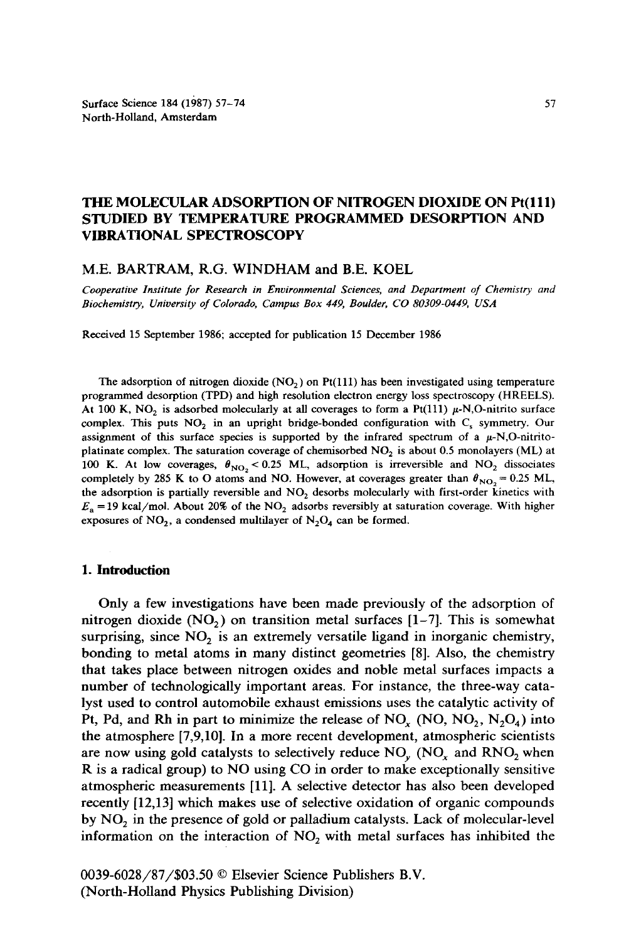# THE MOLECULAR ADSORPTION OF NITROGEN DIOXIDE ON Pt(111) STUDIED BY TEMPERATURE PROGRAMMED DESORPTION AND VIBRATIONAL SPECTROSCOPY

#### **M.E. BARTRAM, R.G.** WINDHAM and B.E. KOEL

*Cooperative Institute for Research in Environmental Sciences, and Department of Chemistry and Biochemistry, University of Colorado, Campus Box 449, Boulder, CO 80309-0449, USA* 

Received 15 September 1986; accepted for publication 15 December 1986

The adsorption of nitrogen dioxide (NO<sub>2</sub>) on Pt(111) has been investigated using temperature programmed desorption (TPD) and high resolution electron energy loss spectroscopy (HREELS). At 100 K, NO<sub>2</sub> is adsorbed molecularly at all coverages to form a Pt(111)  $\mu$ -N,O-nitrito surface complex. This puts  $NO<sub>2</sub>$  in an upright bridge-bonded configuration with  $C<sub>s</sub>$  symmetry. Our assignment of this surface species is supported by the infrared spectrum of a  $\mu$ -N,O-nitritoplatinate complex. The saturation coverage of chemisorbed  $NO<sub>2</sub>$  is about 0.5 monolayers (ML) at 100 K. At low coverages,  $\theta_{NO_2}$  < 0.25 ML, adsorption is irreversible and NO<sub>2</sub> dissociates completely by 285 K to O atoms and NO. However, at coverages greater than  $\theta_{NO} = 0.25$  ML, the adsorption is partially reversible and  $NO<sub>2</sub>$  desorbs molecularly with first-order kinetics with  $E_a = 19$  kcal/mol. About 20% of the NO<sub>2</sub> adsorbs reversibly at saturation coverage. With higher exposures of  $NO_2$ , a condensed multilayer of  $N_2O_4$  can be formed.

## **1. Introduction**

Only a few investigations have been made previously of the adsorption of nitrogen dioxide  $(NO<sub>2</sub>)$  on transition metal surfaces [1-7]. This is somewhat surprising, since  $NO<sub>2</sub>$  is an extremely versatile ligand in inorganic chemistry, bonding to metal atoms in many distinct geometries [8]. Also, the chemistry that takes place between nitrogen oxides and noble metal surfaces impacts a number of technologically important areas. For instance, the three-way catalyst used to control automobile exhaust emissions uses the catalytic activity of Pt, Pd, and Rh in part to minimize the release of NO<sub>x</sub> (NO, NO<sub>2</sub>, N<sub>2</sub>O<sub>4</sub>) into the atmosphere [7,9,10]. In a more recent development, atmospheric scientists are now using gold catalysts to selectively reduce  $NO_y (NO_x and RNO_2)$  when R is a radical group) to NO using CO in order to make exceptionally sensitive atmospheric measurements [11]. A selective detector has also been developed recently [12,13] which makes use of selective oxidation of organic compounds by  $NO<sub>2</sub>$  in the presence of gold or palladium catalysts. Lack of molecular-level information on the interaction of  $NO<sub>2</sub>$  with metal surfaces has inhibited the

0039-6028/87/\$03.50 © Elsevier Science Publishers B.V. (North-Holland Physics Publishing Division)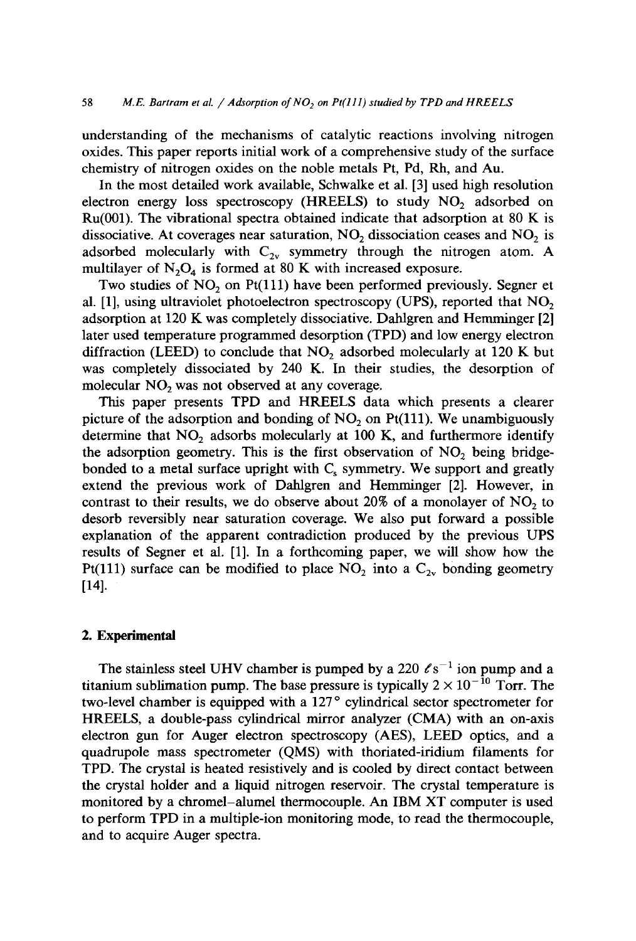understanding of the mechanisms of catalytic reactions involving nitrogen oxides. This paper reports initial work of a comprehensive study of the surface chemistry of nitrogen oxides on the noble metals Pt, Pd, Rh, and Au.

In the most detailed work available, Schwalke et al. [3] used high resolution electron energy loss spectroscopy (HREELS) to study  $NO<sub>2</sub>$  adsorbed on Ru(001). The vibrational spectra obtained indicate that adsorption at 80 K is dissociative. At coverages near saturation,  $NO<sub>2</sub>$  dissociation ceases and  $NO<sub>2</sub>$  is adsorbed molecularly with  $C_{2v}$  symmetry through the nitrogen atom. A multilayer of  $N_2O_4$  is formed at 80 K with increased exposure.

Two studies of  $NO<sub>2</sub>$  on Pt(111) have been performed previously. Segner et al. [1], using ultraviolet photoelectron spectroscopy (UPS), reported that  $NO<sub>2</sub>$ adsorption at 120 K was completely dissociative. Dahlgren and Hemminger [2] later used temperature programmed desorption (TPD) and low energy electron diffraction (LEED) to conclude that  $NO<sub>2</sub>$  adsorbed molecularly at 120 K but was completely dissociated by 240 K. In their studies, the desorption of molecular  $NO<sub>2</sub>$  was not observed at any coverage.

This paper presents TPD and HREELS data which presents a clearer picture of the adsorption and bonding of  $NO<sub>2</sub>$  on Pt(111). We unambiguously determine that  $NO<sub>2</sub>$  adsorbs molecularly at 100 K, and furthermore identify the adsorption geometry. This is the first observation of  $NO<sub>2</sub>$  being bridgebonded to a metal surface upright with  $C_s$  symmetry. We support and greatly extend the previous work of Dahlgren and Hemminger [2]. However, in contrast to their results, we do observe about 20% of a monolayer of  $NO<sub>2</sub>$  to desorb reversibly near saturation coverage. We also put forward a possible explanation of the apparent contradiction produced by the previous UPS results of Segner et al. [1]. In a forthcoming paper, we will show how the Pt(111) surface can be modified to place  $NO_2$  into a  $C_{2v}$  bonding geometry [14].

## **2. Experimental**

The stainless steel UHV chamber is pumped by a 220  $\ell s^{-1}$  ion pump and a titanium sublimation pump. The base pressure is typically  $2 \times 10^{-10}$  Torr. The two-level chamber is equipped with a 127° cylindrical sector spectrometer for HREELS, a double-pass cylindrical mirror analyzer (CMA) with an on-axis electron gun for Auger electron spectroscopy (AES), LEED optics, and a quadrupole mass spectrometer (QMS) with thoriated-iridium filaments for TPD. The crystal is heated resistively and is cooled by direct contact between the crystal holder and a liquid nitrogen reservoir. The crystal temperature is monitored by a chromel-alumel thermocouple. An IBM XT computer is used to perform TPD in a multiple-ion monitoring mode, to read the thermocouple, and to acquire Auger spectra.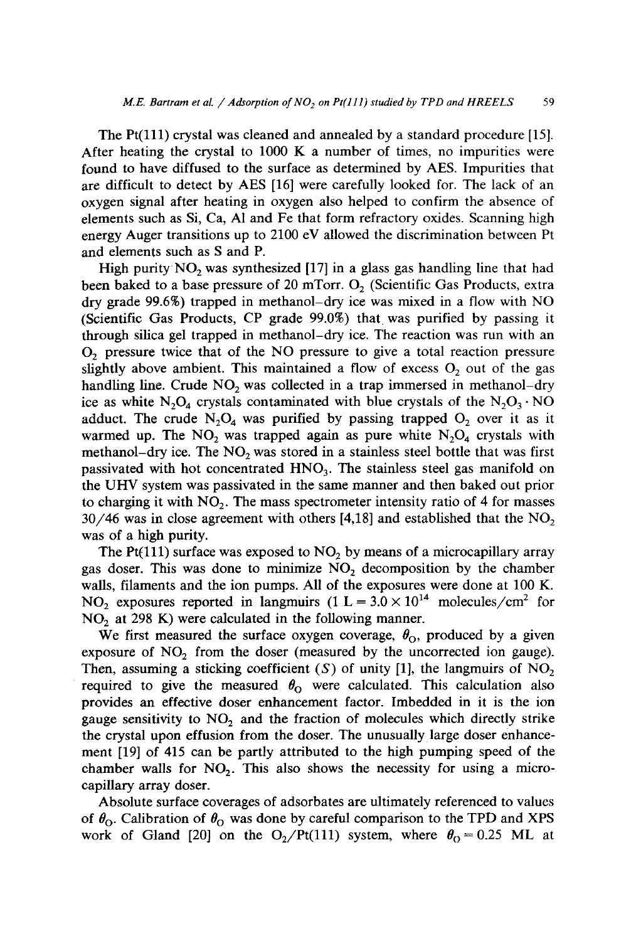The Pt(lll) crystal was cleaned and annealed by a standard procedure [15]. After heating the crystal to 1000 K a number of times, no impurities were found to have diffused to the surface as determined by AES. Impurities that are difficult to detect by AES [16] were carefully looked for. The lack of an oxygen signal after heating in oxygen also helped to confirm the absence of elements such as Si, Ca, A1 and Fe that form refractory oxides. Scanning high energy Auger transitions up to 2100 eV allowed the discrimination between Pt and elements such as S and P.

High purity  $NO<sub>2</sub>$  was synthesized [17] in a glass gas handling line that had been baked to a base pressure of 20 mTorr.  $O_2$  (Scientific Gas Products, extra dry grade 99.6%) trapped in methanol-dry ice was mixed in a flow with NO (Scientific Gas Products, CP grade 99.0%) that was purified by passing it through silica gel trapped in methanol-dry ice. The reaction was run with an 02 pressure twice that of the NO pressure to give a total reaction pressure slightly above ambient. This maintained a flow of excess  $O<sub>2</sub>$  out of the gas handling line. Crude  $NO<sub>2</sub>$  was collected in a trap immersed in methanol-dry ice as white  $N_2O_4$  crystals contaminated with blue crystals of the  $N_2O_3 \cdot NO$ adduct. The crude  $N_2O_4$  was purified by passing trapped  $O_2$  over it as it warmed up. The  $NO_2$  was trapped again as pure white  $N_2O_4$  crystals with methanol-dry ice. The  $NO<sub>2</sub>$  was stored in a stainless steel bottle that was first passivated with hot concentrated  $HNO<sub>3</sub>$ . The stainless steel gas manifold on the UHV system was passivated in the same manner and then baked out prior to charging it with  $NO<sub>2</sub>$ . The mass spectrometer intensity ratio of 4 for masses  $30/46$  was in close agreement with others [4,18] and established that the NO<sub>2</sub> was of a high purity.

The Pt(111) surface was exposed to  $NO<sub>2</sub>$  by means of a microcapillary array gas doser. This was done to minimize  $NO<sub>2</sub>$  decomposition by the chamber walls, filaments and the ion pumps. All of the exposures were done at 100 K. NO<sub>2</sub> exposures reported in langmuirs  $(1 L = 3.0 \times 10^{14} \text{ molecules/cm}^2 \text{ for}$  $NO<sub>2</sub>$  at 298 K) were calculated in the following manner.

We first measured the surface oxygen coverage,  $\theta_{0}$ , produced by a given exposure of  $NO<sub>2</sub>$  from the doser (measured by the uncorrected ion gauge). Then, assuming a sticking coefficient (S) of unity [1], the langmuirs of  $NO<sub>2</sub>$ required to give the measured  $\theta_0$  were calculated. This calculation also provides an effective doser enhancement factor. Imbedded in it is the ion gauge sensitivity to  $NO<sub>2</sub>$  and the fraction of molecules which directly strike the crystal upon effusion from the doser. The unusually large doser enhancement [19] of 415 can be partly attributed to the high pumping speed of the chamber walls for  $NO<sub>2</sub>$ . This also shows the necessity for using a microcapillary array doser.

Absolute surface coverages of adsorbates are ultimately referenced to values of  $\theta_{\rm O}$ . Calibration of  $\theta_{\rm O}$  was done by careful comparison to the TPD and XPS work of Gland [20] on the  $O_2/Pt(111)$  system, where  $\theta_0 = 0.25$  ML at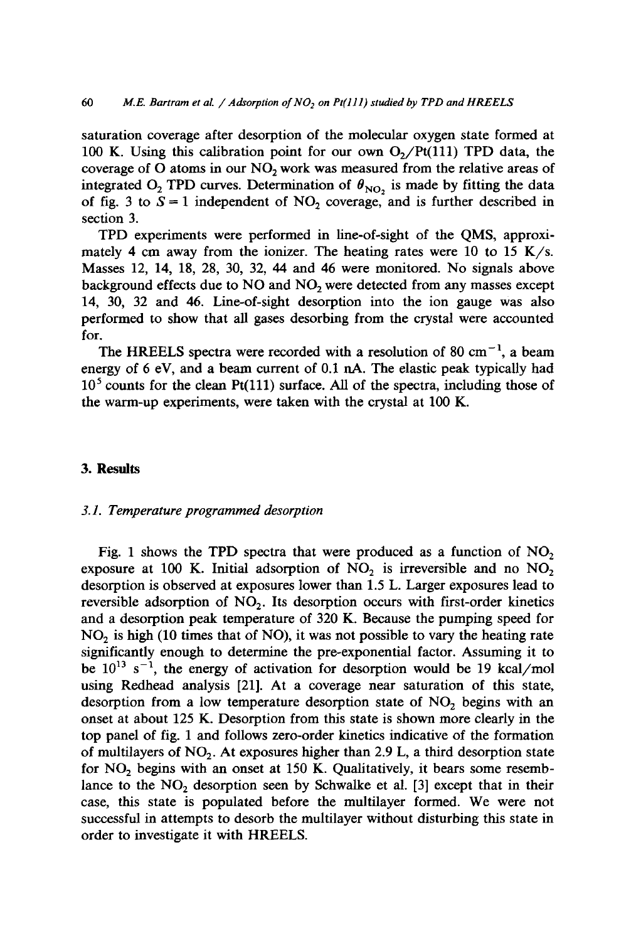saturation coverage after desorption of the molecular oxygen state formed at 100 K. Using this calibration point for our own  $O<sub>2</sub>/Pt(111)$  TPD data, the coverage of O atoms in our  $NO<sub>2</sub>$  work was measured from the relative areas of integrated O<sub>2</sub> TPD curves. Determination of  $\theta_{NO}$ , is made by fitting the data of fig. 3 to  $S = 1$  independent of NO<sub>2</sub> coverage, and is further described in section 3.

TPD experiments were performed in line-of-sight of the QMS, approximately 4 cm away from the ionizer. The heating rates were 10 to 15 K/s. Masses 12, 14, 18, 28, 30, 32, 44 and 46 were monitored. No signals above background effects due to  $NO$  and  $NO<sub>2</sub>$  were detected from any masses except 14, 30, 32 and 46. Line-of-sight desorption into the ion gauge was also performed to show that all gases desorbing from the crystal were accounted for.

The HREELS spectra were recorded with a resolution of 80 cm<sup>-1</sup>, a beam energy of 6 eV, and a beam current of 0.1 nA. The elastic peak typically had  $10<sup>5</sup>$  counts for the clean Pt(111) surface. All of the spectra, including those of the warm-up experiments, were taken with the crystal at 100 K.

#### **3. Results**

#### *3.1. Temperature programmed desorption*

Fig. 1 shows the TPD spectra that were produced as a function of  $NO<sub>2</sub>$ exposure at 100 K. Initial adsorption of  $NO<sub>2</sub>$  is irreversible and no  $NO<sub>2</sub>$ desorption is observed at exposures lower than 1.5 L. Larger exposures lead to reversible adsorption of  $NO<sub>2</sub>$ . Its desorption occurs with first-order kinetics and a desorption peak temperature of 320 K. Because the pumping speed for NO<sub>2</sub> is high (10 times that of NO), it was not possible to vary the heating rate significantly enough to determine the pre-exponential factor. Assuming it to be  $10^{13}$  s<sup>-1</sup>, the energy of activation for desorption would be 19 kcal/mol using Redhead analysis [21]. At a coverage near saturation of this state, desorption from a low temperature desorption state of NO<sub>2</sub> begins with an onset at about 125 K. Desorption from this state is shown more clearly in the top panel of fig. 1 and follows zero-order kinetics indicative of the formation of multilayers of  $NO<sub>2</sub>$ . At exposures higher than 2.9 L, a third desorption state for  $NO<sub>2</sub>$  begins with an onset at 150 K. Qualitatively, it bears some resemblance to the  $NO<sub>2</sub>$  desorption seen by Schwalke et al. [3] except that in their case, this state is populated before the multilayer formed. We were not successful in attempts to desorb the multilayer without disturbing this state in order to investigate it with HREELS.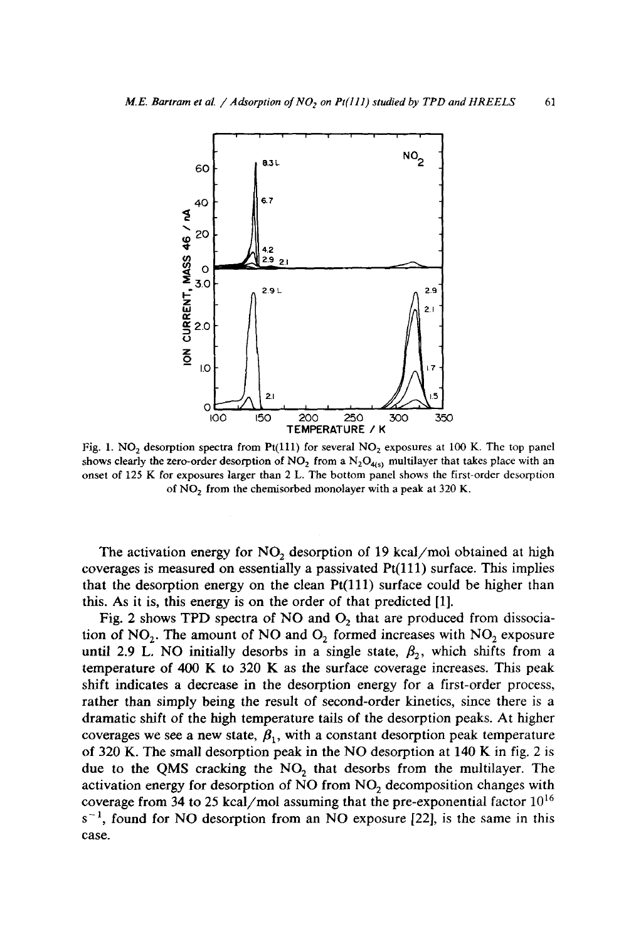

Fig. 1. NO<sub>2</sub> desorption spectra from Pt(111) for several NO<sub>2</sub> exposures at 100 K. The top panel shows clearly the zero-order desorption of NO<sub>2</sub> from a N<sub>2</sub>O<sub>4(s)</sub> multilayer that takes place with an onset of 125 K for exposures larger than 2 L. The bottom panel shows the first-order desorption of NO<sub>2</sub> from the chemisorbed monolayer with a peak at 320 K.

The activation energy for  $NO<sub>2</sub>$  desorption of 19 kcal/mol obtained at high coverages is measured on essentially a passivated Pt(111) surface. This implies that the desorption energy on the clean  $Pt(111)$  surface could be higher than this. As it is, this energy is on the order of that predicted [1].

Fig. 2 shows TPD spectra of NO and  $O_2$  that are produced from dissociation of  $NO<sub>2</sub>$ . The amount of NO and  $O<sub>2</sub>$  formed increases with  $NO<sub>2</sub>$  exposure until 2.9 L. NO initially desorbs in a single state,  $\beta_2$ , which shifts from a temperature of 400 K to 320 K as the surface coverage increases. This peak shift indicates a decrease in the desorption energy for a first-order process, rather than simply being the result of second-order kinetics, since there is a dramatic shift of the high temperature tails of the desorption peaks. At higher coverages we see a new state,  $\beta_1$ , with a constant desorption peak temperature of 320 K. The small desorption peak in the NO desorption at 140 K in fig. 2 is due to the QMS cracking the  $NO<sub>2</sub>$  that desorbs from the multilayer. The activation energy for desorption of NO from NO<sub>2</sub> decomposition changes with coverage from 34 to 25 kcal/mol assuming that the pre-exponential factor  $10^{16}$  $s^{-1}$ , found for NO desorption from an NO exposure [22], is the same in this case.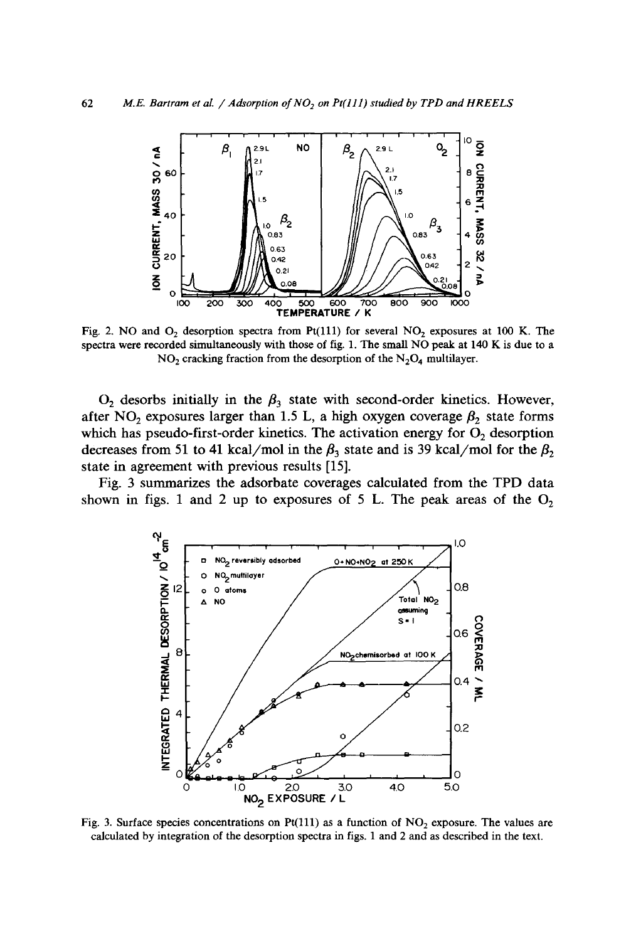

Fig. 2. NO and  $O_2$  desorption spectra from Pt(111) for several  $NO_2$  exposures at 100 K. The spectra were recorded simultaneously with those of fig. 1. The small NO peak at 140 K is due to a  $NO<sub>2</sub>$  cracking fraction from the desorption of the  $N<sub>2</sub>O<sub>4</sub>$  multilayer.

 $O_2$  desorbs initially in the  $\beta_3$  state with second-order kinetics. However, after NO<sub>2</sub> exposures larger than 1.5 L, a high oxygen coverage  $\beta_2$  state forms which has pseudo-first-order kinetics. The activation energy for  $O_2$  desorption decreases from 51 to 41 kcal/mol in the  $\beta_3$  state and is 39 kcal/mol for the  $\beta_2$ **state in agreement with previous results [15].** 

**Fig. 3 summarizes the adsorbate coverages calculated from the TPD data**  shown in figs. 1 and 2 up to exposures of 5 L. The peak areas of the  $O_2$ 



Fig. 3. Surface species concentrations on Pt(111) as a function of  $NO<sub>2</sub>$  exposure. The values are calculated by integration of the desorption spectra in figs. 1 and 2 and as described in the text.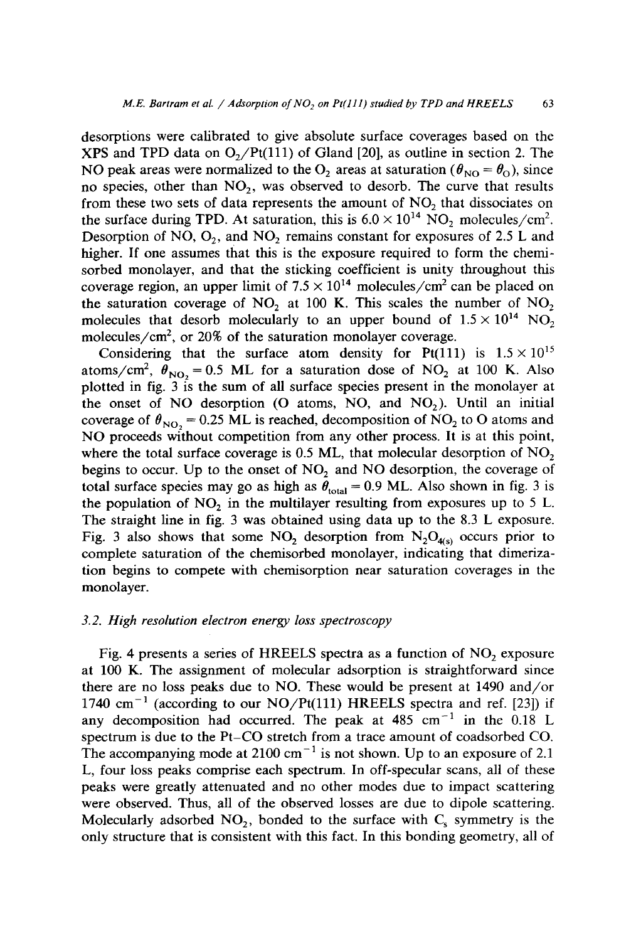desorptions were calibrated to give absolute surface coverages based on the XPS and TPD data on  $O_2/Pt(111)$  of Gland [20], as outline in section 2. The NO peak areas were normalized to the O<sub>2</sub> areas at saturation ( $\theta_{\text{NO}} = \theta_{\text{O}}$ ), since no species, other than  $NO<sub>2</sub>$ , was observed to desorb. The curve that results from these two sets of data represents the amount of  $NO<sub>2</sub>$  that dissociates on the surface during TPD. At saturation, this is  $6.0 \times 10^{14}$  NO, molecules/cm<sup>2</sup>. Desorption of NO,  $O_2$ , and NO<sub>2</sub> remains constant for exposures of 2.5 L and higher. If one assumes that this is the exposure required to form the chemisorbed monolayer, and that the sticking coefficient is unity throughout this coverage region, an upper limit of  $7.5 \times 10^{14}$  molecules/cm<sup>2</sup> can be placed on the saturation coverage of  $NO<sub>2</sub>$  at 100 K. This scales the number of  $NO<sub>2</sub>$ molecules that desorb molecularly to an upper bound of  $1.5 \times 10^{14}$  NO<sub>2</sub> molecules/ $\rm cm^2$ , or 20% of the saturation monolayer coverage.

Considering that the surface atom density for Pt(111) is  $1.5 \times 10^{15}$ atoms/cm<sup>2</sup>,  $\theta_{NO_2} = 0.5$  ML for a saturation dose of NO<sub>2</sub> at 100 K. Also plotted in fig.  $3 \text{ is the sum of all surface species present in the monolayer at }$ the onset of NO desorption (O atoms, NO, and NO<sub>2</sub>). Until an initial coverage of  $\theta_{NO} = 0.25$  ML is reached, decomposition of NO<sub>2</sub> to O atoms and NO proceeds without competition from any other process. It is at this point, where the total surface coverage is  $0.5$  ML, that molecular desorption of NO<sub>2</sub> begins to occur. Up to the onset of NO<sub>2</sub> and NO desorption, the coverage of total surface species may go as high as  $\theta_{\text{total}} = 0.9$  ML. Also shown in fig. 3 is the population of  $NO<sub>2</sub>$  in the multilayer resulting from exposures up to 5 L. The straight line in fig. 3 was obtained using data up to the 8.3 L exposure. Fig. 3 also shows that some NO<sub>2</sub> desorption from  $N_2O_{40}$  occurs prior to complete saturation of the chemisorbed monolayer, indicating that dimerization begins to compete with chemisorption near saturation coverages in the monolayer.

#### *3.2. High resolution electron energy loss spectroscopy*

Fig. 4 presents a series of HREELS spectra as a function of  $NO<sub>2</sub>$  exposure at 100 K. The assignment of molecular adsorption is straightforward since there are no loss peaks due to NO. These would be present at 1490 and/or 1740  $cm^{-1}$  (according to our NO/Pt(111) HREELS spectra and ref. [23]) if any decomposition had occurred. The peak at  $485 \text{ cm}^{-1}$  in the 0.18 L spectrum is due to the Pt-CO stretch from a trace amount of coadsorbed CO. The accompanying mode at  $2100 \text{ cm}^{-1}$  is not shown. Up to an exposure of 2.1 L, four loss peaks comprise each spectrum. In off-specular scans, all of these peaks were greatly attenuated and no other modes due to impact scattering were observed. Thus, all of the observed losses are due to dipole scattering. Molecularly adsorbed  $NO_2$ , bonded to the surface with  $C_s$  symmetry is the only structure that is consistent with this fact. In this bonding geometry, all of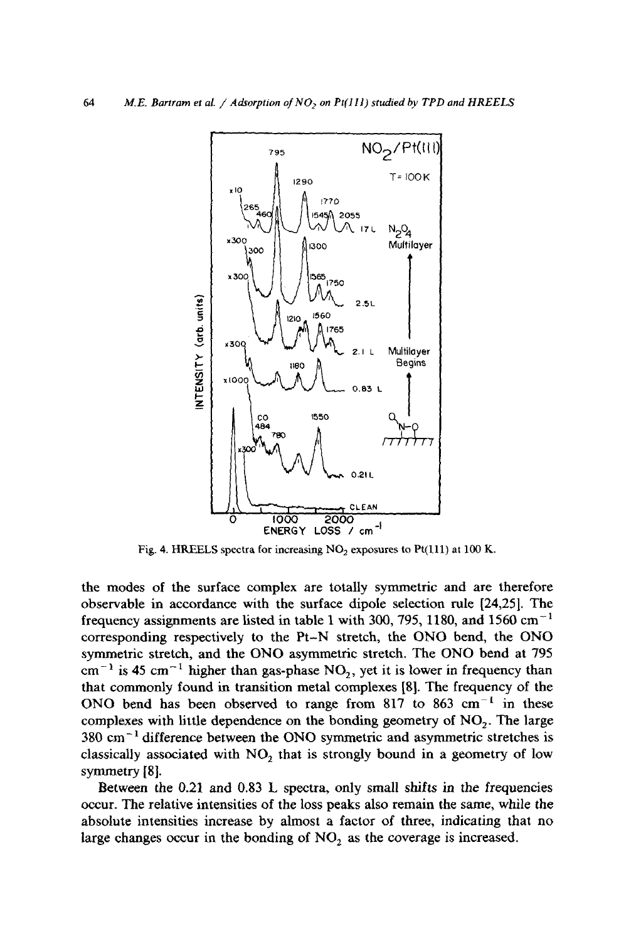

Fig. 4. HREELS spectra for increasing NO<sub>2</sub> exposures to Pt(111) at 100 K.

**the modes of the surface complex are totally symmetric and are therefore observable in accordance with the surface dipole selection rule [24,25]. The frequency assignments are listed in table 1 with 300, 795, 1180, and 1560 cm -1 corresponding respectively to the Pt-N stretch, the ONO bend, the ONO symmetric stretch, and the ONO asymmetric stretch. The ONO bend at 795**   $cm^{-1}$  is 45  $cm^{-1}$  higher than gas-phase NO<sub>2</sub>, yet it is lower in frequency than **that commonly found in transition metal complexes [8]. The frequency of the**  ONO bend has been observed to range from 817 to 863 cm<sup>-1</sup> in these complexes with little dependence on the bonding geometry of NO<sub>2</sub>. The large 380 cm<sup>-1</sup> difference between the ONO symmetric and asymmetric stretches is classically associated with NO<sub>2</sub> that is strongly bound in a geometry of low **symmetry** [8].

**Between the 0.21 and 0.83 L spectra, only small shifts in the frequencies occur. The relative intensities of the loss peaks also remain the same, while the absolute intensities increase by almost a factor of three, indicating that no**  large changes occur in the bonding of NO<sub>2</sub> as the coverage is increased.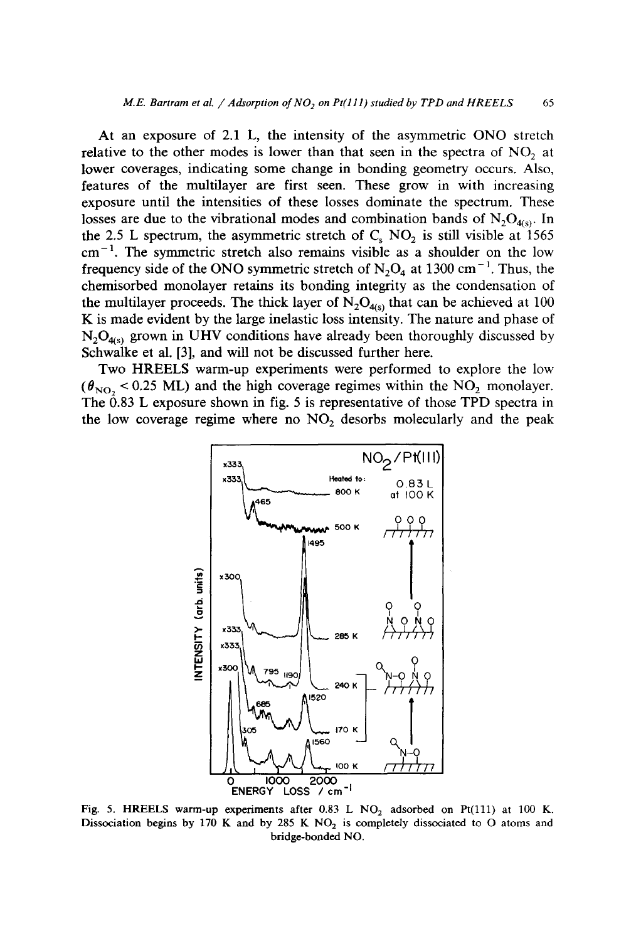At an exposure of 2.1 L, the intensity of the asymmetric ONO stretch relative to the other modes is lower than that seen in the spectra of  $NO<sub>2</sub>$  at lower coverages, indicating some change in bonding geometry occurs. Also, features of the multilayer are first seen. These grow in with increasing exposure until the intensities of these losses dominate the spectrum. These losses are due to the vibrational modes and combination bands of  $N_2O_{4(s)}$ . In the 2.5 L spectrum, the asymmetric stretch of  $C_s$  NO<sub>2</sub> is still visible at 1565  $cm<sup>-1</sup>$ . The symmetric stretch also remains visible as a shoulder on the low frequency side of the ONO symmetric stretch of  $N_2O_4$  at 1300 cm<sup>-1</sup>. Thus, the chemisorbed monolayer retains its bonding integrity as the condensation of the multilayer proceeds. The thick layer of  $N_2O_{4(s)}$  that can be achieved at 100 K is made evident by the large inelastic loss intensity. The nature and phase of  $N_2O_{4(s)}$  grown in UHV conditions have already been thoroughly discussed by Schwalke et al. [3], and will not be discussed further here.

Two HREELS warm-up experiments were performed to explore the low  $(\theta_{NO} < 0.25 \text{ ML})$  and the high coverage regimes within the NO<sub>2</sub> monolayer. The  $0.83$  L exposure shown in fig. 5 is representative of those TPD spectra in the low coverage regime where no  $NO<sub>2</sub>$  desorbs molecularly and the peak



Fig. 5. HREELS warm-up experiments after  $0.83$  L NO<sub>2</sub> adsorbed on Pt(111) at 100 K. Dissociation begins by 170 K and by 285 K  $NO<sub>2</sub>$  is completely dissociated to O atoms and bridge-bonded NO.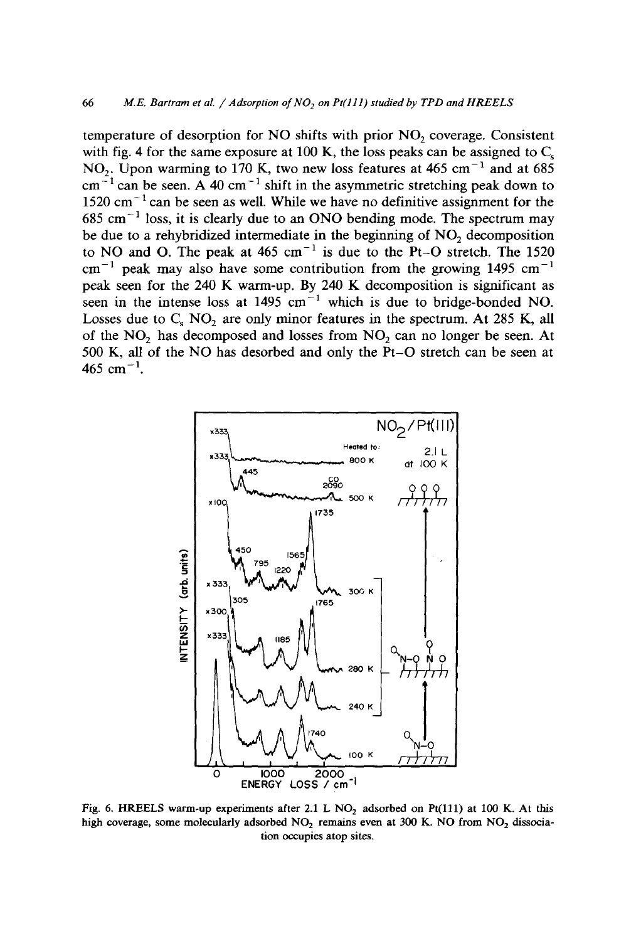temperature of desorption for NO shifts with prior  $NO<sub>2</sub>$  coverage. Consistent with fig. 4 for the same exposure at 100 K, the loss peaks can be assigned to  $C_s$ NO<sub>2</sub>. Upon warming to 170 K, two new loss features at 465 cm<sup>-1</sup> and at 685  $cm^{-1}$  can be seen. A 40 cm<sup>-1</sup> shift in the asymmetric stretching peak down to  $1520 \text{ cm}^{-1}$  can be seen as well. While we have no definitive assignment for the  $685$  cm<sup>-1</sup> loss, it is clearly due to an ONO bending mode. The spectrum may be due to a rehybridized intermediate in the beginning of  $NO<sub>2</sub>$  decomposition to NO and O. The peak at 465 cm<sup>-1</sup> is due to the Pt-O stretch. The 1520  $cm^{-1}$  peak may also have some contribution from the growing 1495 cm<sup>-1</sup> peak seen for the 240 K warm-up. By 240 K decomposition is significant as seen in the intense loss at  $1495 \text{ cm}^{-1}$  which is due to bridge-bonded NO. Losses due to  $C_8$  NO<sub>2</sub> are only minor features in the spectrum. At 285 K, all of the  $NO<sub>2</sub>$  has decomposed and losses from  $NO<sub>2</sub>$  can no longer be seen. At 500 K, all of the NO has desorbed and only the Pt-O stretch can be seen at 465 cm<sup> $-1$ </sup>.



Fig. 6. HREELS warm-up experiments after 2.1 L NO<sub>2</sub> adsorbed on Pt(111) at 100 K. At this high coverage, some molecularly adsorbed  $NO<sub>2</sub>$  remains even at 300 K. NO from  $NO<sub>2</sub>$  dissociation occupies atop sites.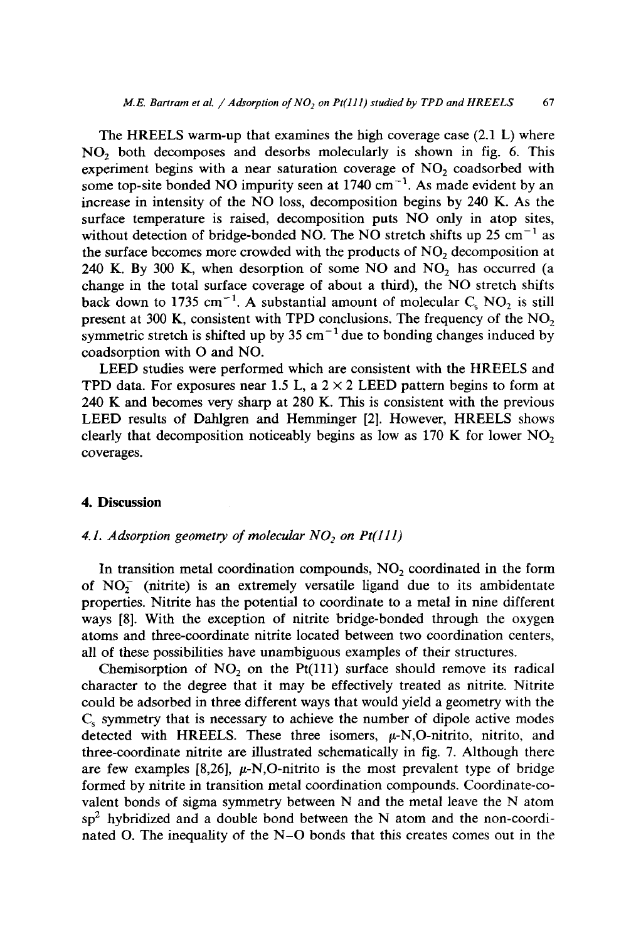The HREELS warm-up that examines the high coverage case (2.1 L) where NO<sub>2</sub> both decomposes and desorbs molecularly is shown in fig. 6. This experiment begins with a near saturation coverage of  $NO<sub>2</sub>$  coadsorbed with some top-site bonded NO impurity seen at  $1740 \text{ cm}^{-1}$ . As made evident by an increase in intensity of the NO loss, decomposition begins by 240 K. As the surface temperature is raised, decomposition puts NO only in atop sites, without detection of bridge-bonded NO. The NO stretch shifts up 25 cm<sup>-1</sup> as the surface becomes more crowded with the products of NO<sub>2</sub> decomposition at 240 K. By 300 K, when desorption of some NO and NO<sub>2</sub> has occurred (a change in the total surface coverage of about a third), the NO stretch shifts back down to 1735 cm<sup>-1</sup>. A substantial amount of molecular  $C_s$  *NO<sub>2</sub>* is still present at 300 K, consistent with TPD conclusions. The frequency of the  $NO<sub>2</sub>$ symmetric stretch is shifted up by 35 cm<sup>-1</sup> due to bonding changes induced by coadsorption with O and NO.

LEED studies were performed which are consistent with the HREELS and TPD data. For exposures near 1.5 L, a  $2 \times 2$  LEED pattern begins to form at 240 K and becomes very sharp at 280 K. This is consistent with the previous LEED results of Dahlgren and Hemminger [2]. However, HREELS shows clearly that decomposition noticeably begins as low as  $170$  K for lower NO<sub>2</sub> coverages.

#### **4. Discussion**

#### 4.1. Adsorption geometry of molecular  $NO<sub>2</sub>$  on  $Pt(111)$

In transition metal coordination compounds,  $NO<sub>2</sub>$  coordinated in the form of  $NO<sub>2</sub><sup>-</sup>$  (nitrite) is an extremely versatile ligand due to its ambidentate properties. Nitrite has the potential to coordinate to a metal in nine different ways [8]. With the exception of nitrite bridge-bonded through the oxygen atoms and three-coordinate nitrite located between two coordination centers, all of these possibilities have unambiguous examples of their structures.

Chemisorption of  $NO<sub>2</sub>$  on the Pt(111) surface should remove its radical character to the degree that it may be effectively treated as nitrite. Nitrite could be adsorbed in three different ways that would yield a geometry with the  $C<sub>s</sub>$  symmetry that is necessary to achieve the number of dipole active modes detected with HREELS. These three isomers,  $\mu$ -N,O-nitrito, nitrito, and three-coordinate nitrite are illustrated schematically in fig. 7. Although there are few examples [8,26],  $\mu$ -N,O-nitrito is the most prevalent type of bridge formed by nitrite in transition metal coordination compounds. Coordinate-covalent bonds of sigma symmetry between N and the metal leave the N atom  $sp<sup>2</sup>$  hybridized and a double bond between the N atom and the non-coordinated O. The inequality of the N-O bonds that this creates comes out in the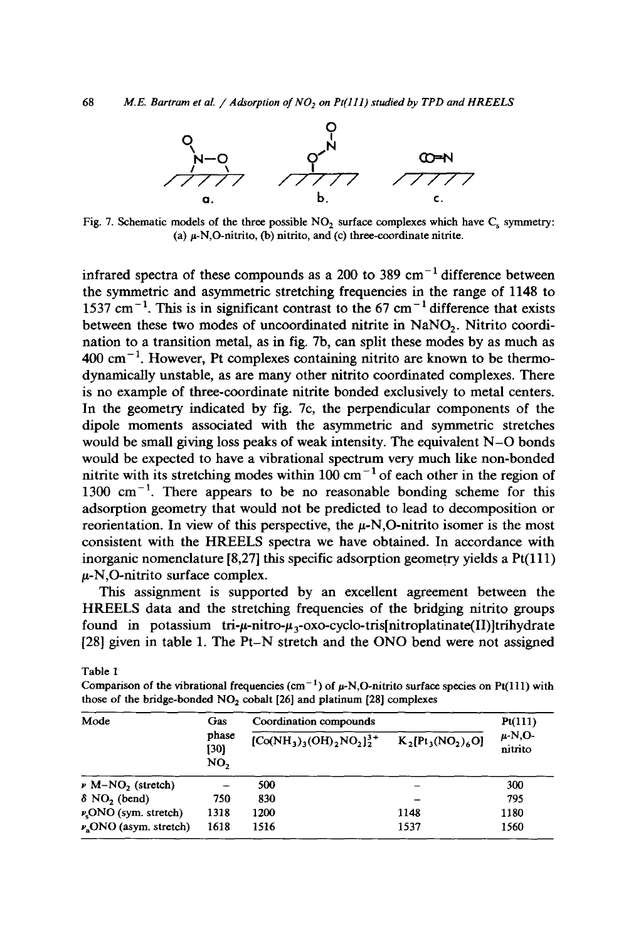

Fig. 7. Schematic models of the three possible  $NO<sub>2</sub>$  surface complexes which have  $C<sub>s</sub>$  symmetry: (a)  $\mu$ -N,O-nitrito, (b) nitrito, and (c) three-coordinate nitrite.

infrared spectra of these compounds as a 200 to 389 cm<sup> $-1$ </sup> difference between the symmetric and asymmetric stretching frequencies in the range of 1148 to  $1537$  cm<sup>-1</sup>. This is in significant contrast to the 67 cm<sup>-1</sup> difference that exists between these two modes of uncoordinated nitrite in NaNO<sub>2</sub>. Nitrito coordination to a transition metal, as in fig. 7b, can split these modes by as much as  $400 \text{ cm}^{-1}$ . However, Pt complexes containing nitrito are known to be thermodynamically unstable, as are many other nitrito coordinated complexes. There is no example of three-coordinate nitrite bonded exclusively to metal centers. In the geometry indicated by fig. 7c, the perpendicular components of the dipole moments associated with the asymmetric and symmetric stretches would be small giving loss peaks of weak intensity. The equivalent N-O bonds would be expected to have a vibrational spectrum very much like non-bonded nitrite with its stretching modes within 100 cm<sup> $-1$ </sup> of each other in the region of  $1300 \text{ cm}^{-1}$ . There appears to be no reasonable bonding scheme for this adsorption geometry that would not be predicted to lead to decomposition or reorientation. In view of this perspective, the  $\mu$ -N,O-nitrito isomer is the most consistent with the HREELS spectra we have obtained. In accordance with inorganic nomenclature  $[8,27]$  this specific adsorption geometry yields a  $Pt(111)$  $\mu$ -N,O-nitrito surface complex.

This assignment is supported by an excellent agreement between the HREELS data and the stretching frequencies of the bridging nitrito groups found in potassium tri- $\mu$ -nitro- $\mu_3$ -oxo-cyclo-tris[nitroplatinate(II)]trihydrate [28] given in table 1. The Pt-N stretch and the ONO bend were not assigned

Table 1

Comparison of the vibrational frequencies (cm<sup>-1</sup>) of  $\mu$ -N,O-nitrito surface species on Pt(111) with those of the bridge-bonded  $NO<sub>2</sub>$  cobalt [26] and platinum [28] complexes

| Mode                                   | Gas<br>phase<br>[30]<br>NO, | Coordination compounds          |                      | Pt(111)                |
|----------------------------------------|-----------------------------|---------------------------------|----------------------|------------------------|
|                                        |                             | $[Co(NH_3)_3(OH)_2NO_2]_2^{3+}$ | $K_2[Pt_3(NO_2)_6O]$ | $\mu$ -N,O-<br>nitrito |
| $\nu$ M-NO <sub>2</sub> (stretch)      |                             | 500                             |                      | 300                    |
| $\delta$ NO <sub>2</sub> (bend)        | 750                         | 830                             |                      | 795                    |
| $\nu_{\rm s}$ ONO (sym. stretch)       | 1318                        | 1200                            | 1148                 | 1180                   |
| $\nu$ <sub>3</sub> ONO (asym. stretch) | 1618                        | 1516                            | 1537                 | 1560                   |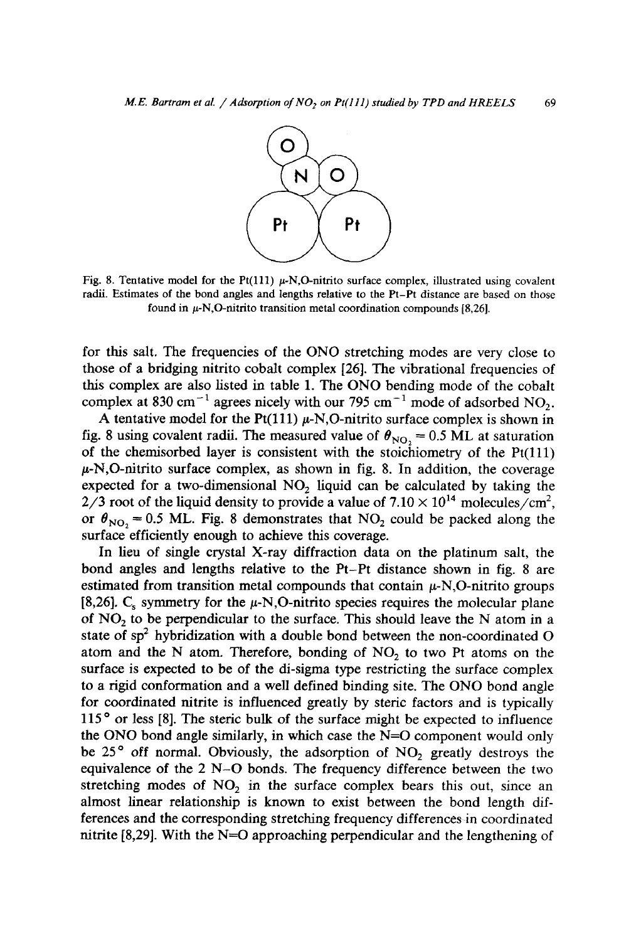

Fig. 8. Tentative model for the Pt(111)  $\mu$ -N,O-nitrito surface complex, illustrated using covalent radii. Estimates of the bond angles and lengths relative to the Pt-Pt distance are based on those found in  $\mu$ -N,O-nitrito transition metal coordination compounds [8,26].

for this salt. The frequencies of the ONO stretching modes are very close to those of a bridging nitrito cobalt complex [26]. The vibrational frequencies of this complex are also listed in table 1. The ONO bending mode of the cobalt complex at 830 cm<sup>-1</sup> agrees nicely with our 795 cm<sup>-1</sup> mode of adsorbed NO<sub>2</sub>.

A tentative model for the Pt(111)  $\mu$ -N,O-nitrito surface complex is shown in fig. 8 using covalent radii. The measured value of  $\theta_{\text{NO}_2} = 0.5 \text{ ML}$  at saturation of the chemisorbed layer is consistent with the stoichiometry of the  $Pt(111)$  $\mu$ -N,O-nitrito surface complex, as shown in fig. 8. In addition, the coverage expected for a two-dimensional NO<sub>2</sub> liquid can be calculated by taking the  $2/3$  root of the liquid density to provide a value of  $7.10 \times 10^{14}$  molecules/cm<sup>2</sup>, or  $\theta_{\text{NO}_2}$  = 0.5 ML. Fig. 8 demonstrates that NO<sub>2</sub> could be packed along the surface efficiently enough to achieve this coverage.

In lieu of single crystal X-ray diffraction data on the platinum salt, the bond angles and lengths relative to the Pt-Pt distance shown in fig. 8 are estimated from transition metal compounds that contain  $\mu$ -N,O-nitrito groups [8,26]. C<sub>s</sub> symmetry for the  $\mu$ -N,O-nitrito species requires the molecular plane of NO2 to be perpendicular to the surface. This should leave the N atom in a state of  $sp^2$  hybridization with a double bond between the non-coordinated O atom and the N atom. Therefore, bonding of  $NO<sub>2</sub>$  to two Pt atoms on the surface is expected to be of the di-sigma type restricting the surface complex to a rigid conformation and a well defined binding site. The ONO bond angle for coordinated nitrite is influenced greatly by steric factors and is typically  $115<sup>o</sup>$  or less [8]. The steric bulk of the surface might be expected to influence the ONO bond angle similarly, in which case the N=O component would only be 25 $\degree$  off normal. Obviously, the adsorption of NO<sub>2</sub> greatly destroys the equivalence of the 2 N-O bonds. The frequency difference between the two stretching modes of  $NO<sub>2</sub>$  in the surface complex bears this out, since an almost linear relationship is known to exist between the bond length differences and the corresponding stretching frequency differences in coordinated nitrite  $[8,29]$ . With the N=O approaching perpendicular and the lengthening of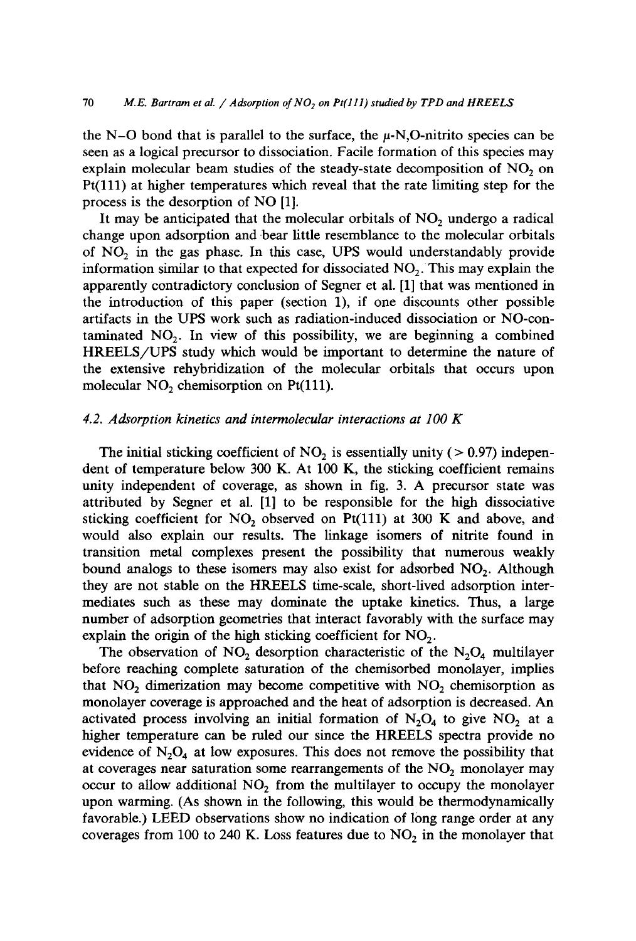the N-O bond that is parallel to the surface, the  $\mu$ -N,O-nitrito species can be seen as a logical precursor to dissociation. Facile formation of this species may explain molecular beam studies of the steady-state decomposition of  $NO<sub>2</sub>$  on Pt(111) at higher temperatures which reveal that the rate limiting step for the process is the desorption of NO [1].

It may be anticipated that the molecular orbitals of  $NO<sub>2</sub>$  undergo a radical change upon adsorption and bear little resemblance to the molecular orbitals of NO<sub>2</sub> in the gas phase. In this case, UPS would understandably provide information similar to that expected for dissociated  $NO<sub>2</sub>$ . This may explain the apparently contradictory conclusion of Segner et al. [1] that was mentioned in the introduction of this paper (section 1), if one discounts other possible artifacts in the UPS work such as radiation-induced dissociation or NO-contaminated  $NO<sub>2</sub>$ . In view of this possibility, we are beginning a combined HREELS/UPS study which would be important to determine the nature of the extensive rehybridization of the molecular orbitals that occurs upon molecular  $NO<sub>2</sub>$  chemisorption on Pt(111).

## *4.2. Adsorption kinetics and intermolecular interactions at 100 K*

The initial sticking coefficient of  $NO<sub>2</sub>$  is essentially unity ( $> 0.97$ ) independent of temperature below 300 K. At 100 K, the sticking coefficient remains unity independent of coverage, as shown in fig. 3. A precursor state was attributed by Segner et al. [1] to be responsible for the high dissociative sticking coefficient for  $NO<sub>2</sub>$  observed on Pt(111) at 300 K and above, and would also explain our results. The linkage isomers of nitrite found in transition metal complexes present the possibility that numerous weakly bound analogs to these isomers may also exist for adsorbed  $NO<sub>2</sub>$ . Although they are not stable on the HREELS time-scale, short-lived adsorption intermediates such as these may dominate the uptake kinetics. Thus, a large number of adsorption geometries that interact favorably with the surface may explain the origin of the high sticking coefficient for  $NO<sub>2</sub>$ .

The observation of  $NO<sub>2</sub>$  desorption characteristic of the  $N<sub>2</sub>O<sub>4</sub>$  multilayer before reaching complete saturation of the chemisorbed monolayer, implies that  $NO<sub>2</sub>$  dimerization may become competitive with  $NO<sub>2</sub>$  chemisorption as monolayer coverage is approached and the heat of adsorption is decreased. An activated process involving an initial formation of  $N_2O_4$  to give NO<sub>2</sub> at a higher temperature can be ruled our since the HREELS spectra provide no evidence of  $N_2O_4$  at low exposures. This does not remove the possibility that at coverages near saturation some rearrangements of the  $NO<sub>2</sub>$  monolayer may occur to allow additional  $NO<sub>2</sub>$  from the multilayer to occupy the monolayer upon warming. (As shown in the following, this would be thermodynamically favorable.) LEED observations show no indication of 10ng range order at any coverages from 100 to 240 K. Loss features due to  $NO<sub>2</sub>$  in the monolayer that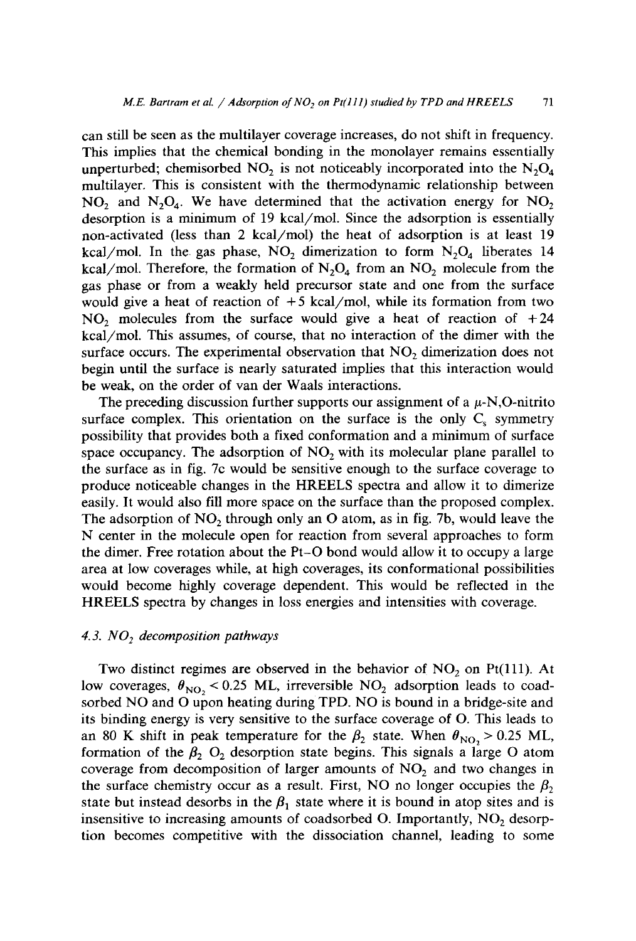can still be seen as the multilayer coverage increases, do not shift in frequency. This implies that the chemical bonding in the monolayer remains essentially unperturbed; chemisorbed NO<sub>2</sub> is not noticeably incorporated into the  $N_2O_4$ multilayer. This is consistent with the thermodynamic relationship between  $NO<sub>2</sub>$  and  $N<sub>2</sub>O<sub>4</sub>$ . We have determined that the activation energy for  $NO<sub>2</sub>$ desorption is a minimum of 19 kcal/mol. Since the adsorption is essentially non-activated (less than 2 kcal/mol) the heat of adsorption is at least 19 kcal/mol. In the gas phase,  $NO<sub>2</sub>$  dimerization to form  $N<sub>2</sub>O<sub>4</sub>$  liberates 14 kcal/mol. Therefore, the formation of  $N_2O_4$  from an  $NO_2$  molecule from the gas phase or from a weakly held precursor state and one from the surface would give a heat of reaction of  $+5$  kcal/mol, while its formation from two  $NO<sub>2</sub>$  molecules from the surface would give a heat of reaction of  $+24$ kcal/mol. This assumes, of course, that no interaction of the dimer with the surface occurs. The experimental observation that  $NO<sub>2</sub>$  dimerization does not begin until the surface is nearly saturated implies that this interaction would be weak, on the order of van der Waals interactions.

The preceding discussion further supports our assignment of a  $\mu$ -N,O-nitrito surface complex. This orientation on the surface is the only  $C_s$  symmetry possibility that provides both a fixed conformation and a minimum of surface space occupancy. The adsorption of  $NO<sub>2</sub>$  with its molecular plane parallel to the surface as in fig. 7c would be sensitive enough to the surface coverage to produce noticeable changes in the HREELS spectra and allow it to dimerize easily. It would also fill more space on the surface than the proposed complex. The adsorption of  $NO<sub>2</sub>$  through only an O atom, as in fig. 7b, would leave the N center in the molecule open for reaction from several approaches to form the dimer. Free rotation about the Pt-O bond would allow it to occupy a large area at low coverages while, at high coverages, its conformational possibilities would become highly coverage dependent. This would be reflected in the HREELS spectra by changes in loss energies and intensities with coverage.

## *4.3. NO 2 decomposition pathways*

Two distinct regimes are observed in the behavior of  $NO<sub>2</sub>$  on Pt(111). At low coverages,  $\theta_{\text{NO}_2}$  < 0.25 ML, irreversible NO<sub>2</sub> adsorption leads to coadsorbed NO and O upon heating during TPD. NO is bound in a bridge-site and its binding energy is very sensitive to the surface coverage of O. This leads to an 80 K shift in peak temperature for the  $\beta_2$  state. When  $\theta_{NO_2} > 0.25$  ML, formation of the  $\beta_2$  O<sub>2</sub> desorption state begins. This signals a large O atom coverage from decomposition of larger amounts of  $NO<sub>2</sub>$  and two changes in the surface chemistry occur as a result. First, NO no longer occupies the  $\beta_2$ state but instead desorbs in the  $\beta_1$  state where it is bound in atop sites and is insensitive to increasing amounts of coadsorbed O. Importantly,  $NO<sub>2</sub>$  desorption becomes competitive with the dissociation channel, leading to some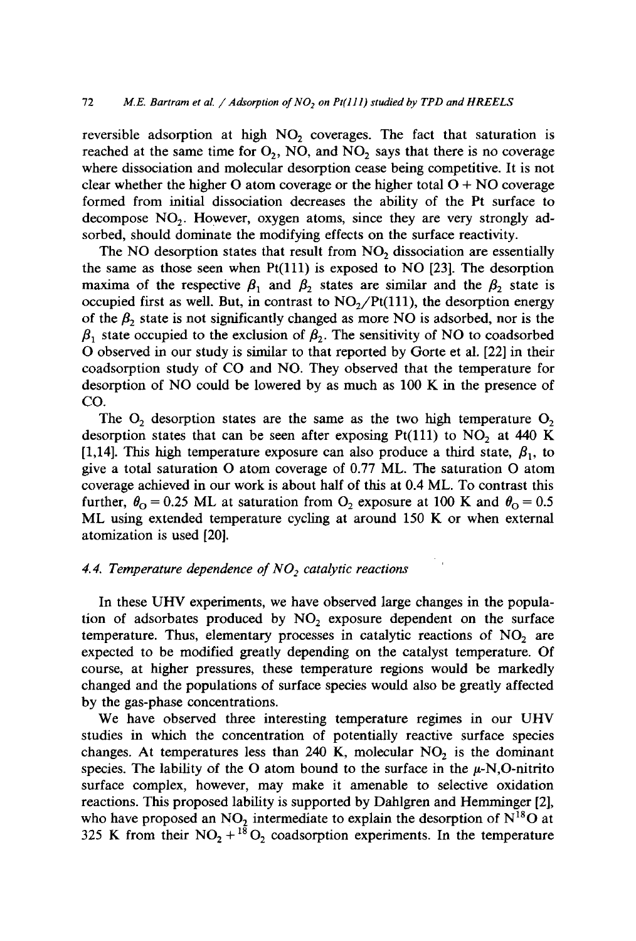reversible adsorption at high  $NO<sub>2</sub>$  coverages. The fact that saturation is reached at the same time for  $O_2$ , NO, and NO<sub>2</sub> says that there is no coverage where dissociation and molecular desorption cease being competitive. It is not clear whether the higher O atom coverage or the higher total  $O + NO$  coverage formed from initial dissociation decreases the ability of the Pt surface to decompose  $NO<sub>2</sub>$ . However, oxygen atoms, since they are very strongly adsorbed, should dominate the modifying effects on the surface reactivity.

The NO desorption states that result from  $NO<sub>2</sub>$  dissociation are essentially the same as those seen when  $Pt(111)$  is exposed to NO [23]. The desorption maxima of the respective  $\beta_1$  and  $\beta_2$  states are similar and the  $\beta_2$  state is occupied first as well. But, in contrast to  $NO<sub>2</sub>/Pt(111)$ , the desorption energy of the  $\beta_2$  state is not significantly changed as more NO is adsorbed, nor is the  $\beta_1$  state occupied to the exclusion of  $\beta_2$ . The sensitivity of NO to coadsorbed O observed in our study is similar to that reported by Gorte et al. [22] in their coadsorption study of CO and NO. They observed that the temperature for desorption of NO could be lowered by as much as 100 K in the presence of CO.

The  $O_2$  desorption states are the same as the two high temperature  $O_2$ desorption states that can be seen after exposing Pt(111) to  $NO<sub>2</sub>$  at 440 K [1,14]. This high temperature exposure can also produce a third state,  $\beta_1$ , to give a total saturation O atom coverage of 0.77 ML. The saturation O atom coverage achieved in our work is about half of this at 0.4 ML. To contrast this further,  $\theta_{\text{O}} = 0.25$  ML at saturation from  $\text{O}_2$  exposure at 100 K and  $\theta_{\text{O}} = 0.5$ ML using extended temperature cycling at around 150 K or when external atomization is used [20].

## 4.4. Temperature dependence of NO<sub>2</sub> catalytic reactions

In these UHV experiments, we have observed large changes in the population of adsorbates produced by  $NO<sub>2</sub>$  exposure dependent on the surface temperature. Thus, elementary processes in catalytic reactions of  $NO<sub>2</sub>$  are expected to be modified greatly depending on the catalyst temperature. Of course, at higher pressures, these temperature regions would be markedly changed and the populations of surface species would also be greatly affected by the gas-phase concentrations.

We have observed three interesting temperature regimes in our UHV studies in which the concentration of potentially reactive surface species changes. At temperatures less than 240 K, molecular  $NO<sub>2</sub>$  is the dominant species. The lability of the O atom bound to the surface in the  $\mu$ -N,O-nitrito surface complex, however, may make it amenable to selective oxidation reactions. This proposed lability is supported by Dahlgren and Hemminger [2], who have proposed an  $NO_2$  intermediate to explain the desorption of  $N^{18}O$  at 325 K from their  $NO_2$  + <sup>18</sup> $O_2$  coadsorption experiments. In the temperature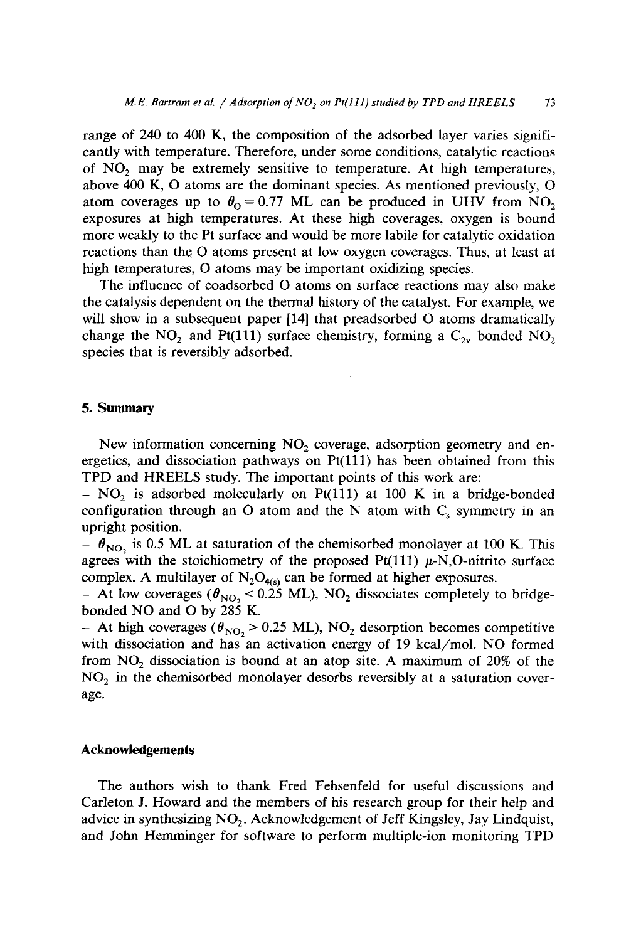range of 240 to 400 K, the composition of the adsorbed layer varies significantly with temperature. Therefore, under some conditions, catalytic reactions of  $NO<sub>2</sub>$  may be extremely sensitive to temperature. At high temperatures, above 400 K, O atoms are the dominant species. As mentioned previously, O atom coverages up to  $\theta_0 = 0.77$  ML can be produced in UHV from NO<sub>2</sub> exposures at high temperatures. At these high coverages, oxygen is bound more weakly to the Pt surface and would be more labile for catalytic oxidation reactions than the O atoms present at low oxygen coverages. Thus, at least at high temperatures, O atoms may be important oxidizing species.

The influence of coadsorbed O atoms on surface reactions may also make the catalysis dependent on the thermal history of the catalyst. For example, we will show in a subsequent paper [14] that preadsorbed O atoms dramatically change the NO<sub>2</sub> and Pt(111) surface chemistry, forming a  $C_{2v}$  bonded NO<sub>2</sub> species that is reversibly adsorbed.

#### 5. Summary

New information concerning  $NO<sub>2</sub>$  coverage, adsorption geometry and energetics, and dissociation pathways on Pt(111) has been obtained from this TPD and HREELS study. The important points of this work are:

-  $NO<sub>2</sub>$  is adsorbed molecularly on Pt(111) at 100 K in a bridge-bonded configuration through an O atom and the N atom with  $C_s$  symmetry in an upright position.

 $\theta_{\text{NO}$ , is 0.5 ML at saturation of the chemisorbed monolayer at 100 K. This agrees with the stoichiometry of the proposed Pt(111)  $\mu$ -N,O-nitrito surface complex. A multilayer of  $N_2O_{4(s)}$  can be formed at higher exposures.

- At low coverages ( $\theta_{\text{NO}_2}$  < 0.25 ML), NO<sub>2</sub> dissociates completely to bridgebonded NO and O by 285 K.

- At high coverages ( $\theta_{NO_2}$  > 0.25 ML), NO<sub>2</sub> desorption becomes competitive with dissociation and has an activation energy of 19 kcal/mol. NO formed from  $NO<sub>2</sub>$  dissociation is bound at an atop site. A maximum of  $20\%$  of the  $NO<sub>2</sub>$  in the chemisorbed monolayer desorbs reversibly at a saturation coverage.

#### **Acknowledgements**

The authors wish to thank Fred Fehsenfeld for useful discussions and Carleton J. Howard and the members of his research group for their help and advice in synthesizing  $NO<sub>2</sub>$ . Acknowledgement of Jeff Kingsley, Jay Lindquist, and John Hemminger for software to perform multiple-ion monitoring TPD